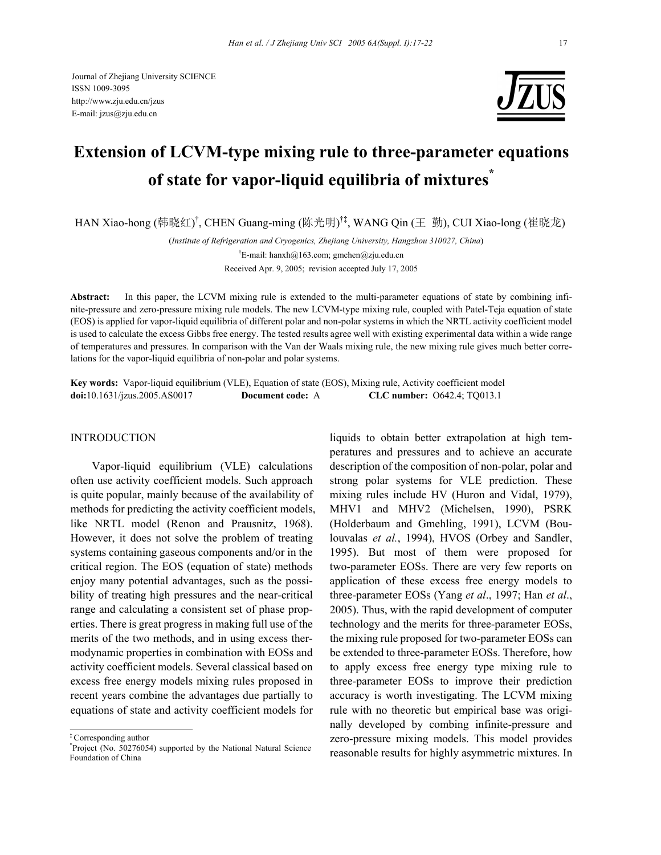

# **Extension of LCVM-type mixing rule to three-parameter equations of state for vapor-liquid equilibria of mixtures\***

HAN Xiao-hong (韩晓红)<sup>†</sup>, CHEN Guang-ming (陈光明)<sup>†‡</sup>, WANG Qin (王 勤), CUI Xiao-long (崔晓龙)

(*Institute of Refrigeration and Cryogenics, Zhejiang University, Hangzhou 310027, China*) † E-mail: hanxh@163.com; gmchen@zju.edu.cn Received Apr. 9, 2005; revision accepted July 17, 2005

**Abstract:** In this paper, the LCVM mixing rule is extended to the multi-parameter equations of state by combining infinite-pressure and zero-pressure mixing rule models. The new LCVM-type mixing rule, coupled with Patel-Teja equation of state (EOS) is applied for vapor-liquid equilibria of different polar and non-polar systems in which the NRTL activity coefficient model is used to calculate the excess Gibbs free energy. The tested results agree well with existing experimental data within a wide range of temperatures and pressures. In comparison with the Van der Waals mixing rule, the new mixing rule gives much better correlations for the vapor-liquid equilibria of non-polar and polar systems.

**Key words:** Vapor-liquid equilibrium (VLE), Equation of state (EOS), Mixing rule, Activity coefficient model **doi:**10.1631/jzus.2005.AS0017 **Document code:** A **CLC number:** O642.4; TQ013.1

## **INTRODUCTION**

Vapor-liquid equilibrium (VLE) calculations often use activity coefficient models. Such approach is quite popular, mainly because of the availability of methods for predicting the activity coefficient models, like NRTL model (Renon and Prausnitz, 1968). However, it does not solve the problem of treating systems containing gaseous components and/or in the critical region. The EOS (equation of state) methods enjoy many potential advantages, such as the possibility of treating high pressures and the near-critical range and calculating a consistent set of phase properties. There is great progress in making full use of the merits of the two methods, and in using excess thermodynamic properties in combination with EOSs and activity coefficient models. Several classical based on excess free energy models mixing rules proposed in recent years combine the advantages due partially to equations of state and activity coefficient models for

liquids to obtain better extrapolation at high temperatures and pressures and to achieve an accurate description of the composition of non-polar, polar and strong polar systems for VLE prediction. These mixing rules include HV (Huron and Vidal, 1979), MHV1 and MHV2 (Michelsen, 1990), PSRK (Holderbaum and Gmehling, 1991), LCVM (Boulouvalas *et al.*, 1994), HVOS (Orbey and Sandler, 1995). But most of them were proposed for two-parameter EOSs. There are very few reports on application of these excess free energy models to three-parameter EOSs (Yang *et al*., 1997; Han *et al*., 2005). Thus, with the rapid development of computer technology and the merits for three-parameter EOSs, the mixing rule proposed for two-parameter EOSs can be extended to three-parameter EOSs. Therefore, how to apply excess free energy type mixing rule to three-parameter EOSs to improve their prediction accuracy is worth investigating. The LCVM mixing rule with no theoretic but empirical base was originally developed by combing infinite-pressure and zero-pressure mixing models. This model provides reasonable results for highly asymmetric mixtures. In

<sup>‡</sup> Corresponding author

<sup>\*</sup> Project (No. 50276054) supported by the National Natural Science Foundation of China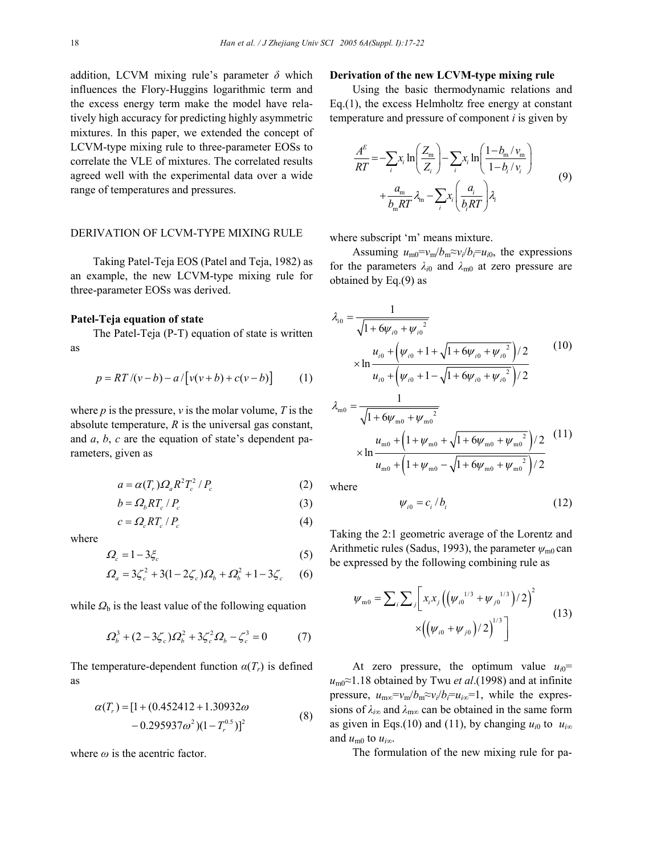addition, LCVM mixing rule's parameter *δ* which influences the Flory-Huggins logarithmic term and the excess energy term make the model have relatively high accuracy for predicting highly asymmetric mixtures. In this paper, we extended the concept of LCVM-type mixing rule to three-parameter EOSs to correlate the VLE of mixtures. The correlated results agreed well with the experimental data over a wide range of temperatures and pressures.

## DERIVATION OF LCVM-TYPE MIXING RULE

Taking Patel-Teja EOS (Patel and Teja, 1982) as an example, the new LCVM-type mixing rule for three-parameter EOSs was derived.

#### **Patel-Teja equation of state**

The Patel-Teja (P-T) equation of state is written as

$$
p = RT/(v - b) - a/[v(v + b) + c(v - b)] \tag{1}
$$

where  $p$  is the pressure,  $v$  is the molar volume,  $T$  is the absolute temperature, *R* is the universal gas constant, and *a*, *b*, *c* are the equation of state's dependent parameters, given as

$$
a = \alpha(T_r) \Omega_a R^2 T_c^2 / P_c \tag{2}
$$

$$
b = \Omega_b R T_c / P_c \tag{3}
$$

$$
c = \Omega_c R T_c / P_c \tag{4}
$$

where

$$
\varOmega_c = 1 - 3\xi_c \tag{5}
$$

$$
\Omega_a = 3\zeta_c^2 + 3(1 - 2\zeta_c)\Omega_b + \Omega_b^2 + 1 - 3\zeta_c \tag{6}
$$

while  $Q<sub>b</sub>$  is the least value of the following equation

$$
\Omega_b^3 + (2 - 3\zeta_c)\Omega_b^2 + 3\zeta_c^2 \Omega_b - \zeta_c^3 = 0 \tag{7}
$$

The temperature-dependent function  $\alpha(T_r)$  is defined as

$$
\alpha(T_r) = [1 + (0.452412 + 1.30932\omega - 0.295937\omega^2)(1 - T_r^{0.5})]^2
$$
\n(8)

where *ω* is the acentric factor.

#### **Derivation of the new LCVM-type mixing rule**

Using the basic thermodynamic relations and Eq.(1), the excess Helmholtz free energy at constant temperature and pressure of component *i* is given by

$$
\frac{A^E}{RT} = -\sum_{i} x_i \ln\left(\frac{Z_m}{Z_i}\right) - \sum_{i} x_i \ln\left(\frac{1 - b_m / v_m}{1 - b_i / v_i}\right)
$$
  
+ 
$$
\frac{a_m}{b_m RT} \lambda_m - \sum_{i} x_i \left(\frac{a_i}{b_i RT}\right) \lambda_i
$$
(9)

where subscript 'm' means mixture.

Assuming  $u_{\text{m0}} = v_{\text{m}}/b_{\text{m}} \approx v_i/b_i = u_{i0}$ , the expressions for the parameters  $\lambda_{i0}$  and  $\lambda_{m0}$  at zero pressure are obtained by Eq.(9) as

$$
\lambda_{i0} = \frac{1}{\sqrt{1 + 6\psi_{i0} + \psi_{i0}^2}}
$$
\n
$$
\times \ln \frac{u_{i0} + (\psi_{i0} + 1 + \sqrt{1 + 6\psi_{i0} + \psi_{i0}^2})/2}{u_{i0} + (\psi_{i0} + 1 - \sqrt{1 + 6\psi_{i0} + \psi_{i0}^2})/2}
$$
\n
$$
\lambda_{\text{m0}} = \frac{1}{\sqrt{1 + 6\psi_{\text{m0}} + \psi_{\text{m0}}^2}}
$$
\n(10)

$$
\times \ln \frac{u_{\rm m0} + \left(1 + \psi_{\rm m0} + \sqrt{1 + 6\psi_{\rm m0} + \psi_{\rm m0}^2}\right)/2}{u_{\rm m0} + \left(1 + \psi_{\rm m0} - \sqrt{1 + 6\psi_{\rm m0} + \psi_{\rm m0}^2}\right)/2}
$$
 (11)

where

$$
\psi_{i0} = c_i / b_i \tag{12}
$$

Taking the 2:1 geometric average of the Lorentz and Arithmetic rules (Sadus, 1993), the parameter  $\psi_{m0}$  can be expressed by the following combining rule as

$$
\psi_{\text{m0}} = \sum_{i} \sum_{j} \left[ x_{i} x_{j} \left( \left( \psi_{i0}^{1/3} + \psi_{j0}^{1/3} \right) / 2 \right)^{2} \right] \times \left( \left( \psi_{i0} + \psi_{j0} \right) / 2 \right)^{1/3} \right] \tag{13}
$$

At zero pressure, the optimum value  $u_{i0}$ = *u*m0≈1.18 obtained by Twu *et al*.(1998) and at infinite pressure,  $u_{\text{m}\infty} = v_{\text{m}}/b_{\text{m}} \approx v_i/b_i = u_i \approx 1$ , while the expressions of  $\lambda_{i\infty}$  and  $\lambda_{\max}$  can be obtained in the same form as given in Eqs.(10) and (11), by changing  $u_{i0}$  to  $u_{i\infty}$ and  $u_{\text{m0}}$  to  $u_{i\infty}$ .

The formulation of the new mixing rule for pa-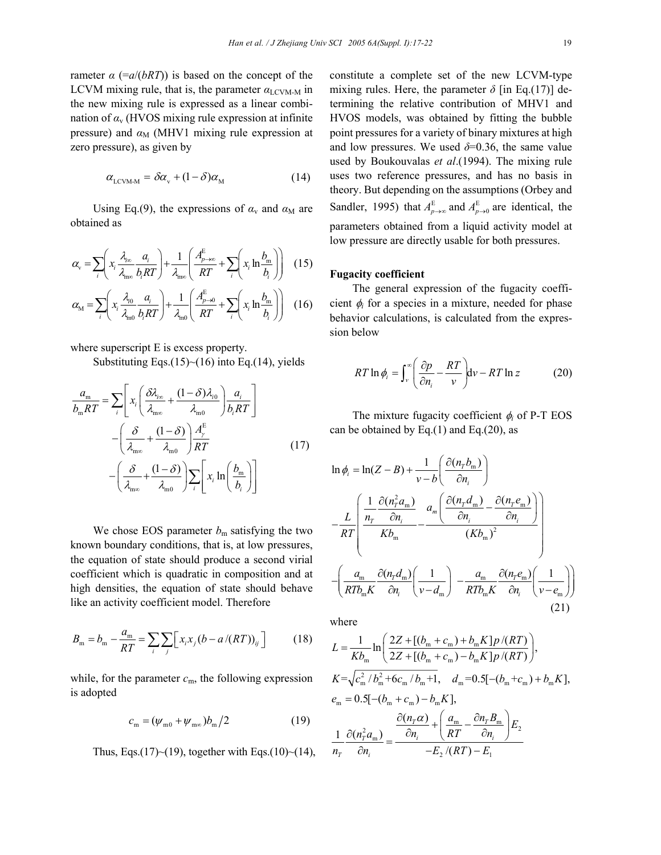rameter  $\alpha$  (= $a/(bRT)$ ) is based on the concept of the LCVM mixing rule, that is, the parameter  $\alpha_{\text{LCVM-M}}$  in the new mixing rule is expressed as a linear combination of  $\alpha$ <sub>v</sub> (HVOS mixing rule expression at infinite pressure) and  $\alpha_M$  (MHV1 mixing rule expression at zero pressure), as given by

$$
\alpha_{\text{LCVM-M}} = \delta \alpha_{\text{v}} + (1 - \delta) \alpha_{\text{M}} \tag{14}
$$

Using Eq.(9), the expressions of  $\alpha$ <sub>v</sub> and  $\alpha$ <sub>M</sub> are obtained as

$$
\alpha_{\rm v} = \sum_{i} \left( x_i \frac{\lambda_{\rm iso}}{\lambda_{\rm ms}} \frac{a_i}{b_i RT} \right) + \frac{1}{\lambda_{\rm ms}} \left( \frac{A_{p \to \infty}^{\rm E}}{RT} + \sum_{i} \left( x_i \ln \frac{b_{\rm m}}{b_i} \right) \right) \tag{15}
$$

$$
\alpha_{\rm M} = \sum_{i} \left( x_i \frac{\lambda_{i0}}{\lambda_{\rm m0}} \frac{a_i}{b_i RT} \right) + \frac{1}{\lambda_{\rm m0}} \left( \frac{A_{p \to 0}^{\rm E}}{RT} + \sum_{i} \left( x_i \ln \frac{b_{\rm m}}{b_i} \right) \right) \tag{16}
$$

where superscript E is excess property.

Substituting Eqs. $(15)$  ~ $(16)$  into Eq. $(14)$ , yields

$$
\frac{a_{\rm m}}{b_{\rm m}RT} = \sum_{i} \left[ x_{i} \left( \frac{\delta \lambda_{i\infty}}{\lambda_{\rm m\infty}} + \frac{(1-\delta)\lambda_{i0}}{\lambda_{\rm m0}} \right) \frac{a_{i}}{b_{i}RT} \right]
$$

$$
- \left( \frac{\delta}{\lambda_{\rm m\infty}} + \frac{(1-\delta)}{\lambda_{\rm m0}} \right) \frac{A_{\rm y}^{\rm E}}{RT}
$$
(17)
$$
- \left( \frac{\delta}{\lambda_{\rm m\infty}} + \frac{(1-\delta)}{\lambda_{\rm m0}} \right) \sum_{i} \left[ x_{i} \ln \left( \frac{b_{\rm m}}{b_{i}} \right) \right]
$$

We chose EOS parameter  $b<sub>m</sub>$  satisfying the two known boundary conditions, that is, at low pressures, the equation of state should produce a second virial coefficient which is quadratic in composition and at high densities, the equation of state should behave like an activity coefficient model. Therefore

$$
B_{\rm m} = b_{\rm m} - \frac{a_{\rm m}}{RT} = \sum_{i} \sum_{j} \left[ x_i x_j (b - a/(RT))_{ij} \right]
$$
 (18)

while, for the parameter  $c_m$ , the following expression is adopted

$$
c_{\rm m} = (\psi_{\rm m0} + \psi_{\rm m\infty})b_{\rm m}/2 \tag{19}
$$

Thus, Eqs.(17)~(19), together with Eqs.(10)~(14),

constitute a complete set of the new LCVM-type mixing rules. Here, the parameter  $\delta$  [in Eq.(17)] determining the relative contribution of MHV1 and HVOS models, was obtained by fitting the bubble point pressures for a variety of binary mixtures at high and low pressures. We used  $\delta$ =0.36, the same value used by Boukouvalas *et al*.(1994). The mixing rule uses two reference pressures, and has no basis in theory. But depending on the assumptions (Orbey and Sandler, 1995) that  $A_{p\rightarrow\infty}^{E}$  and  $A_{p\rightarrow 0}^{E}$  are identical, the parameters obtained from a liquid activity model at low pressure are directly usable for both pressures.

#### **Fugacity coefficient**

The general expression of the fugacity coefficient  $\phi_i$  for a species in a mixture, needed for phase behavior calculations, is calculated from the expression below

$$
RT \ln \phi_i = \int_{\nu}^{\infty} \left( \frac{\partial p}{\partial n_i} - \frac{RT}{\nu} \right) dv - RT \ln z \tag{20}
$$

The mixture fugacity coefficient φ*i* of P-T EOS can be obtained by Eq. $(1)$  and Eq. $(20)$ , as

$$
\ln \phi_i = \ln(Z - B) + \frac{1}{v - b} \left( \frac{\partial (n_r b_m)}{\partial n_i} \right)
$$

$$
-\frac{L}{RT} \left( \frac{\frac{1}{n_r} \frac{\partial (n_r^2 a_m)}{\partial n_i}}{K b_m} - \frac{a_m \left( \frac{\partial (n_r d_m)}{\partial n_i} - \frac{\partial (n_r e_m)}{\partial n_i} \right)}{(K b_m)^2} \right)
$$

$$
-\left( \frac{a_m}{RT b_m K} \frac{\partial (n_r d_m)}{\partial n_i} \left( \frac{1}{v - d_m} \right) - \frac{a_m}{RT b_m K} \frac{\partial (n_r e_m)}{\partial n_i} \left( \frac{1}{v - e_m} \right) \right)
$$
(21)

where

$$
L = \frac{1}{Kb_m} \ln \left( \frac{2Z + [(b_m + c_m) + b_m K]p / (RT)}{2Z + [(b_m + c_m) - b_m K]p / (RT)} \right),
$$
  
\n
$$
K = \sqrt{c_m^2 / b_m^2 + 6c_m / b_m + 1}, \quad d_m = 0.5[-(b_m + c_m) + b_m K],
$$
  
\n
$$
e_m = 0.5[-(b_m + c_m) - b_m K],
$$
  
\n
$$
\frac{\partial (n_r \alpha)}{\partial n_r} + \left( \frac{a_m}{RT} - \frac{\partial n_r B_m}{\partial n_i} \right) E_2
$$
  
\n
$$
\frac{1}{n_r} \frac{\partial (n_r^2 a_m)}{\partial n_i} = \frac{\frac{\partial (n_r \alpha)}{\partial n_i} + \left( \frac{a_m}{RT} - \frac{\partial n_r B_m}{\partial n_i} \right) E_2}{-E_2 / (RT) - E_1}
$$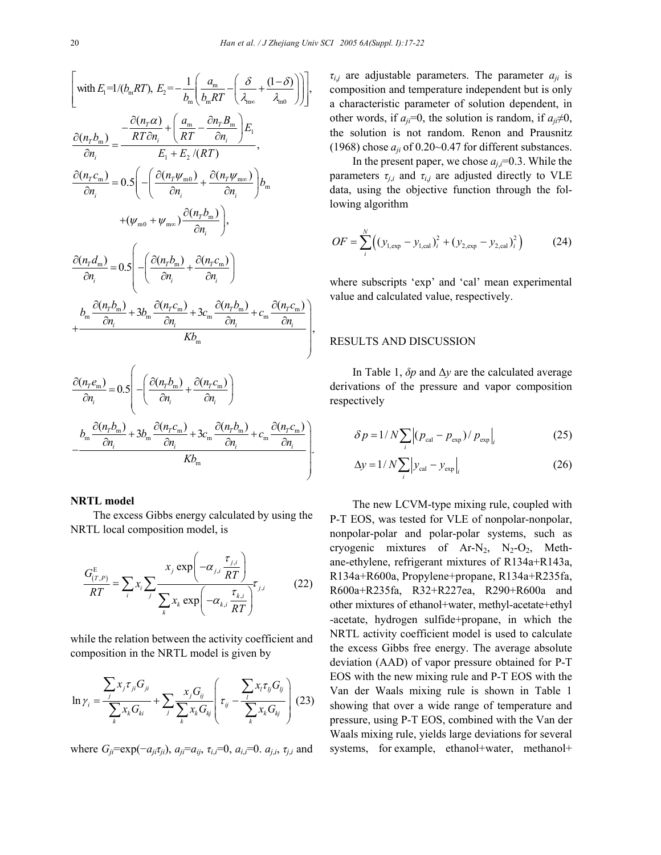.

$$
\left[\text{with } E_{1} = 1/(b_{\text{m}}RT), E_{2} = -\frac{1}{b_{\text{m}}} \left( \frac{a_{\text{m}}}{b_{\text{m}}RT} - \left( \frac{\delta}{\lambda_{\text{m0}}} + \frac{(1-\delta)}{\lambda_{\text{m0}}} \right) \right] \right],
$$
\n
$$
\frac{\partial (n_{T}b_{\text{m}})}{\partial n_{i}} = \frac{-\frac{\partial (n_{T}\alpha)}{RT\partial n_{i}} + \left( \frac{a_{\text{m}}}{RT} - \frac{\partial n_{T}B_{\text{m}}}{\partial n_{i}} \right) E_{1}}{E_{1} + E_{2}/(RT)},
$$
\n
$$
\frac{\partial (n_{T}c_{\text{m}})}{\partial n_{i}} = 0.5 \left( -\left( \frac{\partial (n_{T}\psi_{\text{m0}})}{\partial n_{i}} + \frac{\partial (n_{T}\psi_{\text{m0}})}{\partial n_{i}} \right) b_{\text{m}} + (\psi_{\text{m0}} + \psi_{\text{m0}}) \frac{\partial (n_{T}b_{\text{m}})}{\partial n_{i}} \right),
$$
\n
$$
\frac{\partial (n_{T}d_{\text{m}})}{\partial n_{i}} = 0.5 \left( -\left( \frac{\partial (n_{T}b_{\text{m}})}{\partial n_{i}} + \frac{\partial (n_{T}c_{\text{m}})}{\partial n_{i}} \right) + \frac{b_{\text{m}} \frac{\partial (n_{T}b_{\text{m}})}{\partial n_{i}} + 3b_{\text{m}} \frac{\partial (n_{T}c_{\text{m}})}{\partial n_{i}} + 3c_{\text{m}} \frac{\partial (n_{T}b_{\text{m}})}{\partial n_{i}} + c_{\text{m}} \frac{\partial (n_{T}c_{\text{m}})}{\partial n_{i}} \right),
$$
\n
$$
\frac{\partial (n_{T}e_{\text{m}})}{\partial n_{i}} = 0.5 \left( -\left( \frac{\partial (n_{T}b_{\text{m}})}{\partial n_{i}} + \frac{\partial (n_{T}c_{\text{m}})}{\partial n_{i}} \right) - \frac{\partial (n_{T}c_{\text{m}})}{\partial n_{i}} \right)
$$

$$
-\frac{b_{\rm m}\frac{\partial(n_{\rm T}b_{\rm m})}{\partial n_{\rm i}}+3b_{\rm m}\frac{\partial(n_{\rm T}c_{\rm m})}{\partial n_{\rm i}}+3c_{\rm m}\frac{\partial(n_{\rm T}b_{\rm m})}{\partial n_{\rm i}}+c_{\rm m}\frac{\partial(n_{\rm T}c_{\rm m})}{\partial n_{\rm i}}}{Kb_{\rm m}}
$$

#### **NRTL model**

The excess Gibbs energy calculated by using the NRTL local composition model, is

$$
\frac{G_{(T,P)}^{\mathrm{E}}}{RT} = \sum_{i} x_{i} \sum_{j} \frac{x_{j} \exp\left(-\alpha_{j,i} \frac{\tau_{j,i}}{RT}\right)}{\sum_{k} x_{k} \exp\left(-\alpha_{k,i} \frac{\tau_{k,i}}{RT}\right)} \tau_{j,i}
$$
(22)

 $\sim$ 

while the relation between the activity coefficient and composition in the NRTL model is given by

$$
\ln \gamma_i = \frac{\sum_j x_j \tau_{ji} G_{ji}}{\sum_k x_k G_{ki}} + \sum_j \frac{x_j G_{ij}}{\sum_k x_k G_{kj}} \left( \tau_{ij} - \frac{\sum_k x_l \tau_{ij} G_{ij}}{\sum_k x_k G_{kj}} \right) (23)
$$

where  $G_{ii} = \exp(-a_{ii}\tau_{ii})$ ,  $a_{ii} = a_{ii}$ ,  $\tau_{ii} = 0$ ,  $a_{ii} = 0$ .  $a_{ii}$ ,  $\tau_{ii}$  and

 $\tau_{i,j}$  are adjustable parameters. The parameter  $a_{ji}$  is composition and temperature independent but is only a characteristic parameter of solution dependent, in other words, if  $a_{ii}$ =0, the solution is random, if  $a_{ii} \neq 0$ , the solution is not random. Renon and Prausnitz (1968) chose  $a_{ii}$  of 0.20~0.47 for different substances.

In the present paper, we chose  $a_i$ <sup> $=$ </sup> $0.3$ . While the parameters  $\tau_{i,i}$  and  $\tau_{i,j}$  are adjusted directly to VLE data, using the objective function through the following algorithm

$$
OF = \sum_{i}^{N} \left( (y_{1, \exp} - y_{1, \text{cal}})_i^2 + (y_{2, \exp} - y_{2, \text{cal}})_i^2 \right)
$$
 (24)

where subscripts 'exp' and 'cal' mean experimental value and calculated value, respectively.

### RESULTS AND DISCUSSION

In Table 1, *δp* and ∆*y* are the calculated average derivations of the pressure and vapor composition respectively

$$
\delta p = 1/N \sum_{i} \left| (p_{\text{cal}} - p_{\text{exp}}) / p_{\text{exp}} \right|_{i}
$$
 (25)

$$
\Delta y = 1/N \sum_{i} |y_{\text{cal}} - y_{\text{exp}}|_{i}
$$
 (26)

The new LCVM-type mixing rule, coupled with P-T EOS, was tested for VLE of nonpolar-nonpolar, nonpolar-polar and polar-polar systems, such as cryogenic mixtures of  $Ar-N_2$ ,  $N_2-O_2$ , Methane-ethylene, refrigerant mixtures of R134a+R143a, R134a+R600a, Propylene+propane, R134a+R235fa, R600a+R235fa, R32+R227ea, R290+R600a and other mixtures of ethanol+water, methyl-acetate+ethyl -acetate, hydrogen sulfide+propane, in which the NRTL activity coefficient model is used to calculate the excess Gibbs free energy. The average absolute deviation (AAD) of vapor pressure obtained for P-T EOS with the new mixing rule and P-T EOS with the Van der Waals mixing rule is shown in Table 1 showing that over a wide range of temperature and pressure, using P-T EOS, combined with the Van der Waals mixing rule, yields large deviations for several systems, for example, ethanol+water, methanol+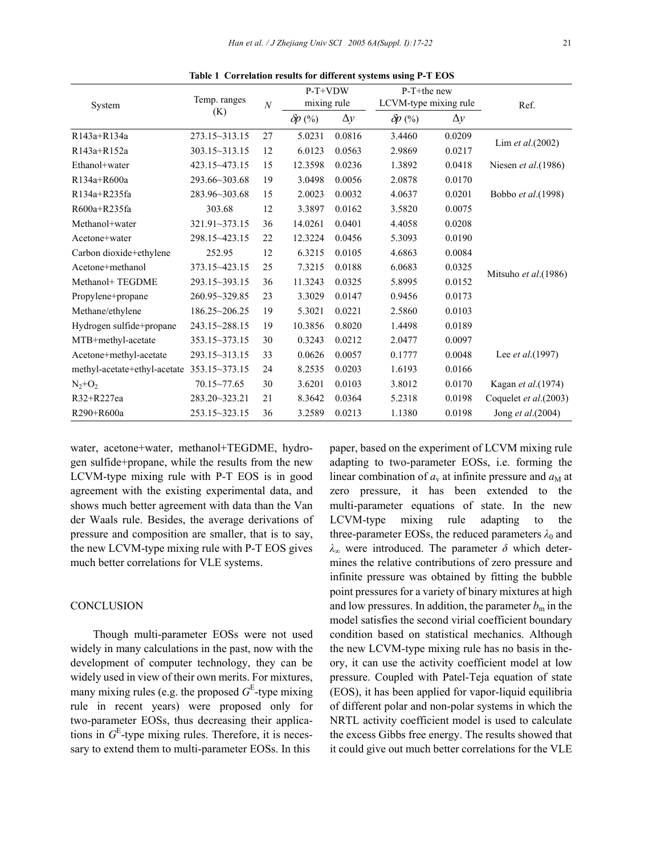| System                       | Temp. ranges<br>(K) | $\cal N$ | P-T+VDW<br>mixing rule |        | $P-T+$ the new<br>LCVM-type mixing rule |        | Ref.                     |
|------------------------------|---------------------|----------|------------------------|--------|-----------------------------------------|--------|--------------------------|
|                              |                     |          |                        |        |                                         |        |                          |
| R143a+R134a                  | 273.15~313.15       | 27       | 5.0231                 | 0.0816 | 3.4460                                  | 0.0209 |                          |
| R143a+R152a                  | $303.15 - 313.15$   | 12       | 6.0123                 | 0.0563 | 2.9869                                  | 0.0217 | Lim et al.(2002)         |
| Ethanol+water                | 423.15~473.15       | 15       | 12.3598                | 0.0236 | 1.3892                                  | 0.0418 | Niesen et al. (1986)     |
| R134a+R600a                  | 293.66~303.68       | 19       | 3.0498                 | 0.0056 | 2.0878                                  | 0.0170 |                          |
| R134a+R235fa                 | 283.96~303.68       | 15       | 2.0023                 | 0.0032 | 4.0637                                  | 0.0201 | Bobbo et al.(1998)       |
| R600a+R235fa                 | 303.68              | 12       | 3.3897                 | 0.0162 | 3.5820                                  | 0.0075 |                          |
| Methanol+water               | $321.91 - 373.15$   | 36       | 14.0261                | 0.0401 | 4.4058                                  | 0.0208 |                          |
| Acetone+water                | 298.15~423.15       | 22       | 12.3224                | 0.0456 | 5.3093                                  | 0.0190 |                          |
| Carbon dioxide+ethylene      | 252.95              | 12       | 6.3215                 | 0.0105 | 4.6863                                  | 0.0084 |                          |
| Acetone+methanol             | 373.15~423.15       | 25       | 7.3215                 | 0.0188 | 6.0683                                  | 0.0325 |                          |
| Methanol+ TEGDME             | 293.15~393.15       | 36       | 11.3243                | 0.0325 | 5.8995                                  | 0.0152 | Mitsuho et al.(1986)     |
| Propylene+propane            | 260.95~329.85       | 23       | 3.3029                 | 0.0147 | 0.9456                                  | 0.0173 |                          |
| Methane/ethylene             | 186.25~206.25       | 19       | 5.3021                 | 0.0221 | 2.5860                                  | 0.0103 |                          |
| Hydrogen sulfide+propane     | 243.15~288.15       | 19       | 10.3856                | 0.8020 | 1.4498                                  | 0.0189 |                          |
| MTB+methyl-acetate           | 353.15~373.15       | 30       | 0.3243                 | 0.0212 | 2.0477                                  | 0.0097 |                          |
| Acetone+methyl-acetate       | 293.15~313.15       | 33       | 0.0626                 | 0.0057 | 0.1777                                  | 0.0048 | Lee <i>et al.</i> (1997) |
| methyl-acetate+ethyl-acetate | 353.15~373.15       | 24       | 8.2535                 | 0.0203 | 1.6193                                  | 0.0166 |                          |
| $N_2+O_2$                    | $70.15 - 77.65$     | 30       | 3.6201                 | 0.0103 | 3.8012                                  | 0.0170 | Kagan et al.(1974)       |
| R32+R227ea                   | 283.20~323.21       | 21       | 8.3642                 | 0.0364 | 5.2318                                  | 0.0198 | Coquelet et al.(2003)    |
| R290+R600a                   | 253.15~323.15       | 36       | 3.2589                 | 0.0213 | 1.1380                                  | 0.0198 | Jong et al.(2004)        |

**Table 1 Correlation results for different systems using P-T EOS**

water, acetone+water, methanol+TEGDME, hydrogen sulfide+propane, while the results from the new LCVM-type mixing rule with P-T EOS is in good agreement with the existing experimental data, and shows much better agreement with data than the Van der Waals rule. Besides, the average derivations of pressure and composition are smaller, that is to say, the new LCVM-type mixing rule with P-T EOS gives much better correlations for VLE systems.

#### **CONCLUSION**

Though multi-parameter EOSs were not used widely in many calculations in the past, now with the development of computer technology, they can be widely used in view of their own merits. For mixtures, many mixing rules (e.g. the proposed  $G<sup>E</sup>$ -type mixing rule in recent years) were proposed only for two-parameter EOSs, thus decreasing their applications in  $G<sup>E</sup>$ -type mixing rules. Therefore, it is necessary to extend them to multi-parameter EOSs. In this

paper, based on the experiment of LCVM mixing rule adapting to two-parameter EOSs, i.e. forming the linear combination of  $a<sub>v</sub>$  at infinite pressure and  $a<sub>M</sub>$  at zero pressure, it has been extended to the multi-parameter equations of state. In the new LCVM-type mixing rule adapting to the three-parameter EOSs, the reduced parameters  $\lambda_0$  and *λ*∞ were introduced. The parameter *δ* which determines the relative contributions of zero pressure and infinite pressure was obtained by fitting the bubble point pressures for a variety of binary mixtures at high and low pressures. In addition, the parameter  $b_m$  in the model satisfies the second virial coefficient boundary condition based on statistical mechanics. Although the new LCVM-type mixing rule has no basis in theory, it can use the activity coefficient model at low pressure. Coupled with Patel-Teja equation of state (EOS), it has been applied for vapor-liquid equilibria of different polar and non-polar systems in which the NRTL activity coefficient model is used to calculate the excess Gibbs free energy. The results showed that it could give out much better correlations for the VLE